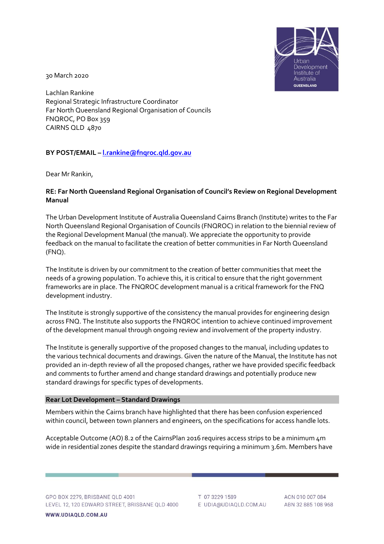

30 March 2020

Lachlan Rankine Regional Strategic Infrastructure Coordinator Far North Queensland Regional Organisation of Councils FNQROC, PO Box 359 CAIRNS QLD 4870

# **BY POST/EMAIL – [l.rankine@fnqroc.qld.gov.au](mailto:l.rankine@fnqroc.qld.gov.au)**

Dear Mr Rankin,

# **RE: Far North Queensland Regional Organisation of Council's Review on Regional Development Manual**

The Urban Development Institute of Australia Queensland Cairns Branch (Institute) writes to the Far North Queensland Regional Organisation of Councils (FNQROC) in relation to the biennial review of the Regional Development Manual (the manual). We appreciate the opportunity to provide feedback on the manual to facilitate the creation of better communities in Far North Queensland (FNQ).

The Institute is driven by our commitment to the creation of better communities that meet the needs of a growing population. To achieve this, it is critical to ensure that the right government frameworks are in place. The FNQROC development manual is a critical framework for the FNQ development industry.

The Institute is strongly supportive of the consistency the manual provides for engineering design across FNQ. The Institute also supports the FNQROC intention to achieve continued improvement of the development manual through ongoing review and involvement of the property industry.

The Institute is generally supportive of the proposed changes to the manual, including updates to the various technical documents and drawings. Given the nature of the Manual, the Institute has not provided an in-depth review of all the proposed changes, rather we have provided specific feedback and comments to further amend and change standard drawings and potentially produce new standard drawings for specific types of developments.

### **Rear Lot Development – Standard Drawings**

Members within the Cairns branch have highlighted that there has been confusion experienced within council, between town planners and engineers, on the specifications for access handle lots.

Acceptable Outcome (AO) 8.2 of the CairnsPlan 2016 requires access strips to be a minimum 4m wide in residential zones despite the standard drawings requiring a minimum 3.6m. Members have

T 07 3229 1589 E UDIA@UDIAQLD.COM.AU

ACN 010 007 084 ABN 32 885 108 968